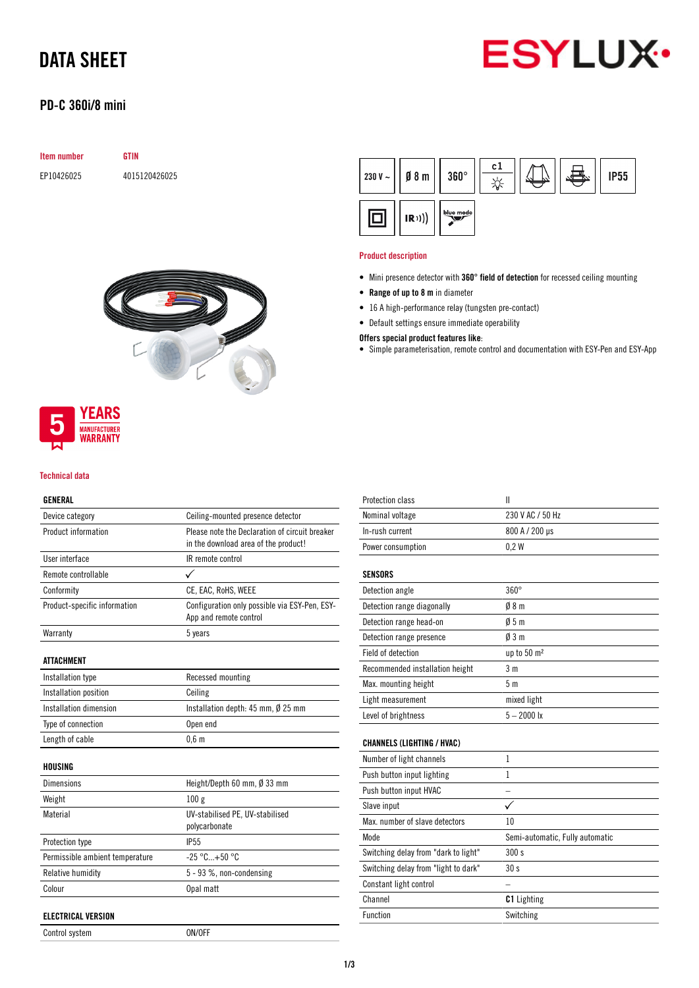

# DATA SHEET

# PD-C 360i/8 mini

| <b>Item number</b> | GTIN          |
|--------------------|---------------|
| EP10426025         | 4015120426025 |





#### Technical data

## GENERAL

| Device category                 | Ceiling-mounted presence detector                                                      |
|---------------------------------|----------------------------------------------------------------------------------------|
| Product information             | Please note the Declaration of circuit breaker<br>in the download area of the product! |
| User interface                  | IR remote control                                                                      |
| Remote controllable             |                                                                                        |
| Conformity                      | CE, EAC, RoHS, WEEE                                                                    |
| Product-specific information    | Configuration only possible via ESY-Pen, ESY-<br>App and remote control                |
| Warranty                        | 5 years                                                                                |
| <b>ATTACHMENT</b>               |                                                                                        |
| Installation type               | Recessed mounting                                                                      |
| Installation position           | Ceiling                                                                                |
| Installation dimension          | Installation depth: $45$ mm, $\emptyset$ 25 mm                                         |
| Type of connection              | Open end                                                                               |
| Length of cable                 | 0.6 <sub>m</sub>                                                                       |
| HOUSING                         |                                                                                        |
| <b>Dimensions</b>               | Height/Depth 60 mm, $\emptyset$ 33 mm                                                  |
| Weight                          | 100g                                                                                   |
| Material                        | UV-stabilised PE, UV-stabilised<br>polycarbonate                                       |
| Protection type                 | <b>IP55</b>                                                                            |
| Permissible ambient temperature | $-25 °C + 50 °C$                                                                       |
| Relative humidity               | 5 - 93 %, non-condensing                                                               |
| Colour                          | Opal matt                                                                              |
| <b>ELECTRICAL VERSION</b>       |                                                                                        |
| Control system                  | ON/OFF                                                                                 |

 $c1$ 230 V  $\sim$  $08<sub>m</sub>$  $360^\circ$ **IP55**  $\frac{1}{2}$ blue mode o  $(R))$ 

#### Product description

- Mini presence detector with 360° field of detection for recessed ceiling mounting
- Range of up to 8 m in diameter
- 16 A high-performance relay (tungsten pre-contact)
- Default settings ensure immediate operability

## Offers special product features like:

• Simple parameterisation, remote control and documentation with ESY-Pen and ESY-App

| <b>Protection class</b>              | $\mathbf{I}$                    |
|--------------------------------------|---------------------------------|
| Nominal voltage                      | 230 V AC / 50 Hz                |
| In-rush current                      | 800 A / 200 µs                  |
| Power consumption                    | 0.2W                            |
| <b>SENSORS</b>                       |                                 |
| Detection angle                      | $360^\circ$                     |
| Detection range diagonally           | 08 <sub>m</sub>                 |
| Detection range head-on              | 05m                             |
| Detection range presence             | 03m                             |
| Field of detection                   | up to 50 m <sup>2</sup>         |
| Recommended installation height      | 3 m                             |
| Max. mounting height                 | 5 <sub>m</sub>                  |
| Light measurement                    | mixed light                     |
| Level of brightness                  | $5 - 2000$ lx                   |
| <b>CHANNELS (LIGHTING / HVAC)</b>    |                                 |
| Number of light channels             | 1                               |
| Push button input lighting           | 1                               |
| Push button input HVAC               |                                 |
| Slave input                          |                                 |
| Max, number of slave detectors       | 10                              |
| Mode                                 | Semi-automatic, Fully automatic |
| Switching delay from "dark to light" | 300 s                           |
| Switching delay from "light to dark" | 30s                             |
| Constant light control               |                                 |
| Channel                              | C1 Lighting                     |
| <b>Function</b>                      | Switching                       |
|                                      |                                 |

1/3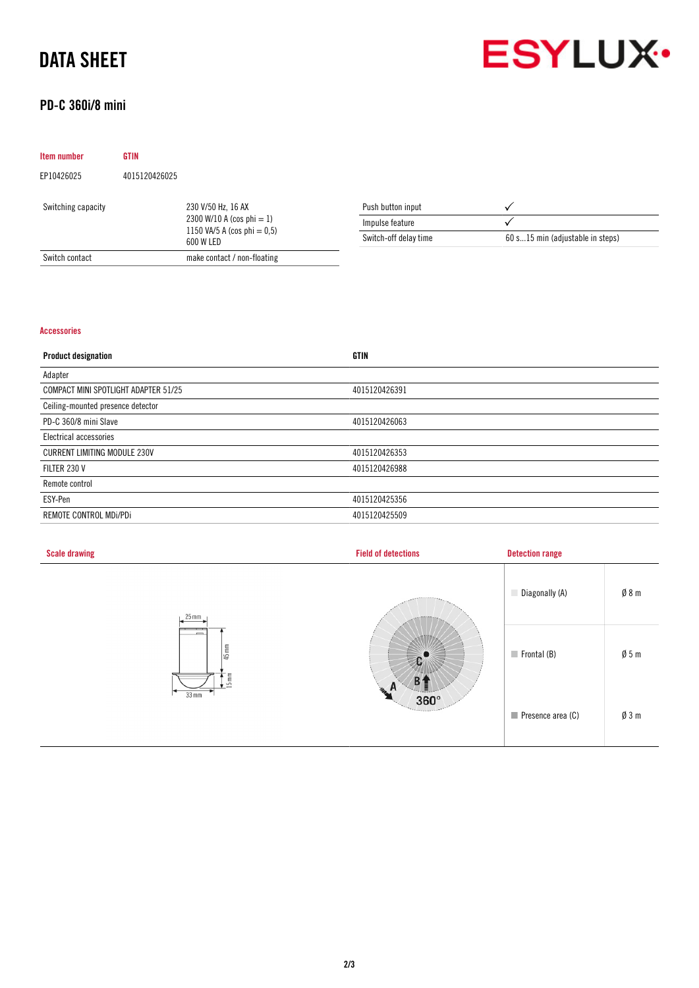# DATA SHEET



# PD-C 360i/8 mini

| <b>Item number</b> | <b>GTIN</b>   |                                                                                                   |                       |                                  |
|--------------------|---------------|---------------------------------------------------------------------------------------------------|-----------------------|----------------------------------|
| EP10426025         | 4015120426025 |                                                                                                   |                       |                                  |
| Switching capacity |               | 230 V/50 Hz, 16 AX<br>2300 W/10 A (cos phi $= 1$ )<br>1150 VA/5 A (cos phi = $0,5$ )<br>600 W LED | Push button input     |                                  |
|                    |               |                                                                                                   | Impulse feature       |                                  |
|                    |               |                                                                                                   | Switch-off delay time | 60 s15 min (adjustable in steps) |
| Switch contact     |               | make contact / non-floating                                                                       |                       |                                  |

## Accessories

| <b>Product designation</b>           | <b>GTIN</b>   |
|--------------------------------------|---------------|
| Adapter                              |               |
| COMPACT MINI SPOTLIGHT ADAPTER 51/25 | 4015120426391 |
| Ceiling-mounted presence detector    |               |
| PD-C 360/8 mini Slave                | 4015120426063 |
| Electrical accessories               |               |
| <b>CURRENT LIMITING MODULE 230V</b>  | 4015120426353 |
| FILTER 230 V                         | 4015120426988 |
| Remote control                       |               |
| ESY-Pen                              | 4015120425356 |
| REMOTE CONTROL MDI/PDI               | 4015120425509 |

| <b>Scale drawing</b>             | <b>Field of detections</b> | <b>Detection range</b>           |                 |
|----------------------------------|----------------------------|----------------------------------|-----------------|
| $25$ mm                          | $-0.555$                   | Diagonally (A)                   | Ø8m             |
| $45 \text{ mm}$<br>$\frac{1}{2}$ |                            | $\blacksquare$ Frontal (B)       | $\emptyset$ 5 m |
| $33$ mm                          | æ.<br>n<br>$360^\circ$     | $\blacksquare$ Presence area (C) | $\emptyset$ 3 m |